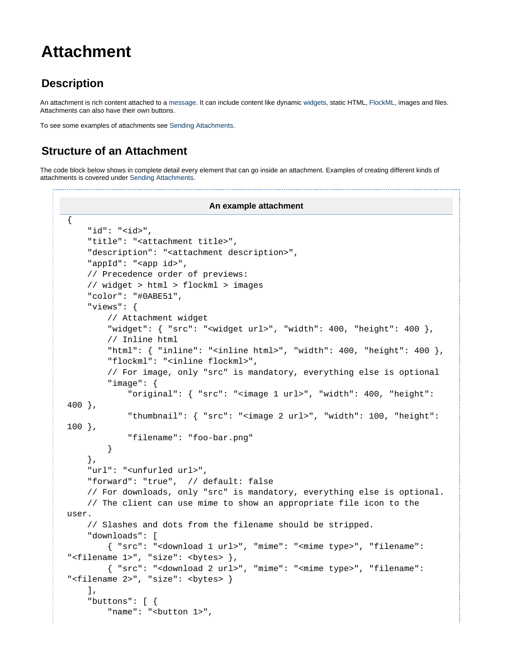# **Attachment**

### **Description**

An attachment is rich content attached to a [message](https://docs.flock.com/display/flockos/Message). It can include content like dynamic [widgets,](https://docs.flock.com/display/flockos/Widgets) static HTML, [FlockML](https://docs.flock.com/display/flockos/FlockML), images and files. Attachments can also have their own buttons.

To see some examples of attachments see [Sending Attachments](https://docs.flock.com/display/flockos/Sending+Attachments).

## **Structure of an Attachment**

The code block below shows in complete detail every element that can go inside an attachment. Examples of creating different kinds of attachments is covered under [Sending Attachments.](https://docs.flock.com/display/flockos/Sending+Attachments)

```
An example attachment
{
     "id": "<id>",
     "title": "<attachment title>",
     "description": "<attachment description>",
     "appId": "<app id>",
     // Precedence order of previews:
     // widget > html > flockml > images
     "color": "#0ABE51",
     "views": {
         // Attachment widget
         "widget": { "src": "<widget url>", "width": 400, "height": 400 },
         // Inline html
        "html": \{ "inline": "<inline html>", "width": 400, "height": 400 \}, "flockml": "<inline flockml>",
         // For image, only "src" is mandatory, everything else is optional
         "image": {
              "original": { "src": "<image 1 url>", "width": 400, "height": 
400 },
              "thumbnail": { "src": "<image 2 url>", "width": 100, "height": 
100 },
              "filename": "foo-bar.png"
         }
     },
     "url": "<unfurled url>",
     "forward": "true", // default: false
     // For downloads, only "src" is mandatory, everything else is optional.
     // The client can use mime to show an appropriate file icon to the 
user.
     // Slashes and dots from the filename should be stripped.
     "downloads": [
         { "src": "<download 1 url>", "mime": "<mime type>", "filename": 
"<filename 1>", "size": <br/> <br/> <br/>),
         { "src": "<download 2 url>", "mime": "<mime type>", "filename": 
"<filename 2>", "size": <br/> <br/>>> }
     ],
     "buttons": [ {
        "name": "<br/>button 1>",
```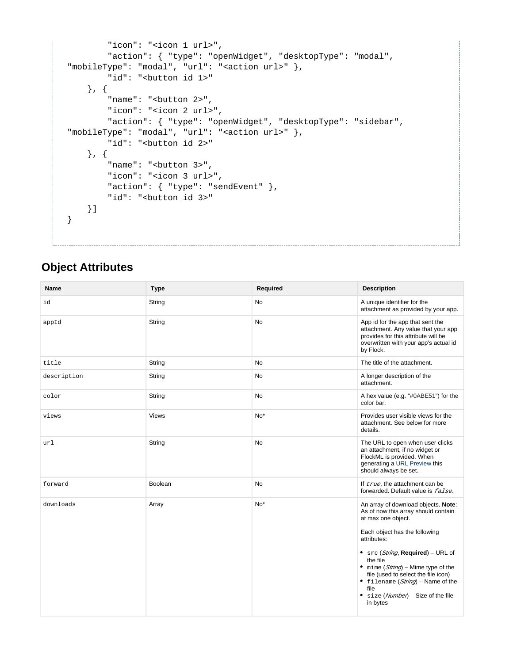```
 "icon": "<icon 1 url>", 
         "action": { "type": "openWidget", "desktopType": "modal", 
"mobileType": "modal", "url": "<action url>" },
        "id": "<br/>button id 1>"
     }, {
        "name": "<br/>button 2>",
         "icon": "<icon 2 url>", 
         "action": { "type": "openWidget", "desktopType": "sidebar", 
"mobileType": "modal", "url": "<action url>" },
        "id": "<br/>button id 2>"
     }, {
        "name": "<br/>button 3>",
         "icon": "<icon 3 url>", 
         "action": { "type": "sendEvent" },
        "id": "<br/>button id 3>"
    }]
}
```
### **Object Attributes**

| Name        | <b>Type</b>  | Required  | <b>Description</b>                                                                                                                                                                                                                                                                                                                                                                    |
|-------------|--------------|-----------|---------------------------------------------------------------------------------------------------------------------------------------------------------------------------------------------------------------------------------------------------------------------------------------------------------------------------------------------------------------------------------------|
| id          | String       | <b>No</b> | A unique identifier for the<br>attachment as provided by your app.                                                                                                                                                                                                                                                                                                                    |
| appId       | String       | <b>No</b> | App id for the app that sent the<br>attachment. Any value that your app<br>provides for this attribute will be<br>overwritten with your app's actual id<br>by Flock.                                                                                                                                                                                                                  |
| title       | String       | <b>No</b> | The title of the attachment.                                                                                                                                                                                                                                                                                                                                                          |
| description | String       | No        | A longer description of the<br>attachment.                                                                                                                                                                                                                                                                                                                                            |
| color       | String       | <b>No</b> | A hex value (e.g. "#0ABE51") for the<br>color bar.                                                                                                                                                                                                                                                                                                                                    |
| views       | <b>Views</b> | $No*$     | Provides user visible views for the<br>attachment. See below for more<br>details.                                                                                                                                                                                                                                                                                                     |
| url         | String       | <b>No</b> | The URL to open when user clicks<br>an attachment, if no widget or<br>FlockML is provided. When<br>generating a URL Preview this<br>should always be set.                                                                                                                                                                                                                             |
| forward     | Boolean      | No        | If true, the attachment can be<br>forwarded. Default value is <i>false</i> .                                                                                                                                                                                                                                                                                                          |
| downloads   | Array        | $No*$     | An array of download objects. Note:<br>As of now this array should contain<br>at max one object.<br>Each object has the following<br>attributes:<br>• $src (String, Required) - URL of$<br>the file<br>• mime $(String)$ – Mime type of the<br>file (used to select the file icon)<br>• filename $(String)$ – Name of the<br>file<br>• $size (Number) - Size of the file$<br>in bytes |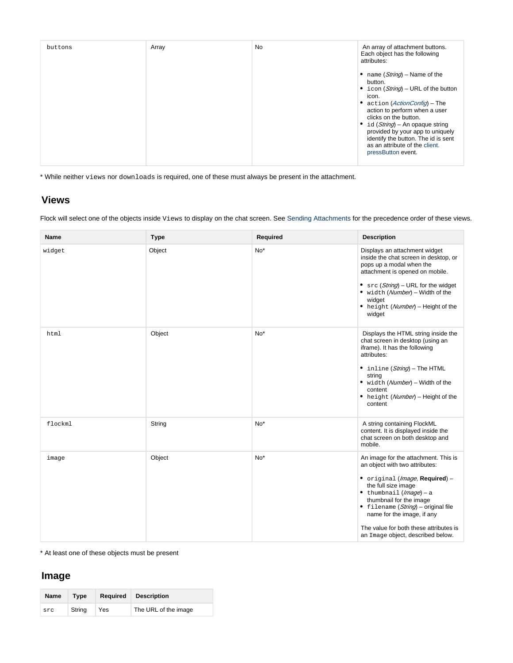| Each object has the following<br>attributes:<br>• name $(String)$ – Name of the<br>button.<br>• icon $(String)$ – URL of the button<br>icon.<br>• action ( <i>ActionConfig</i> ) – The<br>action to perform when a user<br>clicks on the button.<br>id (String) – An opaque string<br>provided by your app to uniquely |
|------------------------------------------------------------------------------------------------------------------------------------------------------------------------------------------------------------------------------------------------------------------------------------------------------------------------|
|------------------------------------------------------------------------------------------------------------------------------------------------------------------------------------------------------------------------------------------------------------------------------------------------------------------------|

\* While neither views nor downloads is required, one of these must always be present in the attachment.

#### **Views**

Flock will select one of the objects inside Views to display on the chat screen. See [Sending Attachments](https://docs.flock.com/display/flockos/Sending+Attachments) for the precedence order of these views.

| <b>Name</b> | <b>Type</b> | Required | <b>Description</b>                                                                                                                                                                                                                                                                                                                                         |
|-------------|-------------|----------|------------------------------------------------------------------------------------------------------------------------------------------------------------------------------------------------------------------------------------------------------------------------------------------------------------------------------------------------------------|
| widget      | Object      | $No*$    | Displays an attachment widget<br>inside the chat screen in desktop, or<br>pops up a modal when the<br>attachment is opened on mobile.<br>• $src(String)$ – URL for the widget<br>• width (Number) - Width of the<br>widget<br>• height (Number) - Height of the<br>widget                                                                                  |
| html        | Object      | $No*$    | Displays the HTML string inside the<br>chat screen in desktop (using an<br>iframe). It has the following<br>attributes:<br>• inline (String) - The HTML<br>string<br>• width (Number) - Width of the<br>content<br>• height (Number) - Height of the<br>content                                                                                            |
| flockml     | String      | $No*$    | A string containing FlockML<br>content. It is displayed inside the<br>chat screen on both desktop and<br>mobile.                                                                                                                                                                                                                                           |
| image       | Object      | $No*$    | An image for the attachment. This is<br>an object with two attributes:<br>• original (Image, Required) -<br>the full size image<br>$\bullet$ thumbnail ( <i>lmage</i> ) - a<br>thumbnail for the image<br>• filename (String) - original file<br>name for the image, if any<br>The value for both these attributes is<br>an Image object, described below. |

\* At least one of these objects must be present

#### **Image**

| Name | Type   | Required | <b>Description</b>   |
|------|--------|----------|----------------------|
| src  | String | Yes      | The URL of the image |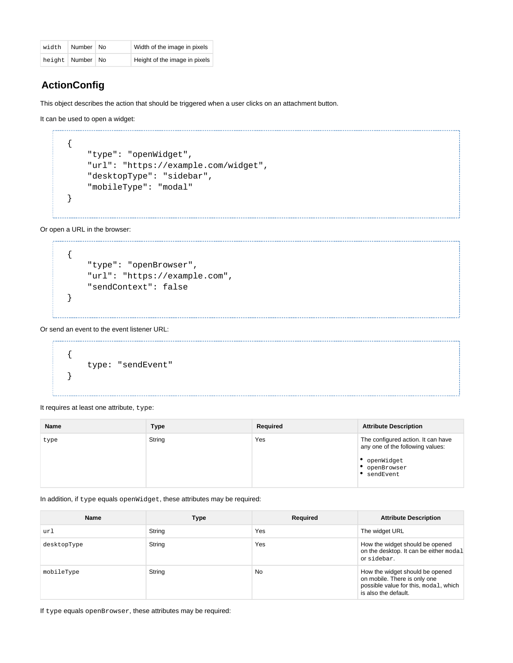| width | Number   No          | Width of the image in pixels  |
|-------|----------------------|-------------------------------|
|       | height   Number   No | Height of the image in pixels |

### <span id="page-3-0"></span>**ActionConfig**

This object describes the action that should be triggered when a user clicks on an attachment button.

It can be used to open a widget:

```
{
     "type": "openWidget",
     "url": "https://example.com/widget",
     "desktopType": "sidebar",
     "mobileType": "modal"
}
```
Or open a URL in the browser:

```
{
     "type": "openBrowser",
     "url": "https://example.com",
     "sendContext": false
}
```
#### Or send an event to the event listener URL:

```
{
     type: "sendEvent"
}
```
It requires at least one attribute, type:

| <b>Name</b> | <b>Type</b> | Required | <b>Attribute Description</b>                                                                                     |
|-------------|-------------|----------|------------------------------------------------------------------------------------------------------------------|
| type        | String      | Yes      | The configured action. It can have<br>any one of the following values:<br>openWidget<br>openBrowser<br>sendEvent |

In addition, if type equals openWidget, these attributes may be required:

| <b>Name</b> | <b>Type</b> | Required  | <b>Attribute Description</b>                                                                                                     |
|-------------|-------------|-----------|----------------------------------------------------------------------------------------------------------------------------------|
| url         | String      | Yes       | The widget URL                                                                                                                   |
| desktopType | String      | Yes       | How the widget should be opened<br>on the desktop. It can be either modal<br>orsidebar.                                          |
| mobileType  | String      | <b>No</b> | How the widget should be opened<br>on mobile. There is only one<br>possible value for this, modal, which<br>is also the default. |

If type equals openBrowser, these attributes may be required: